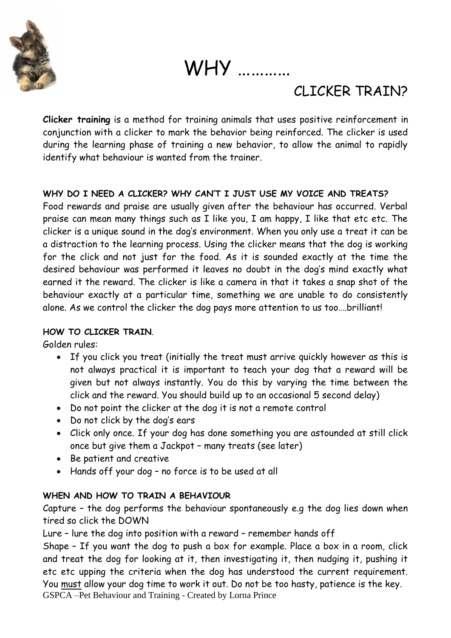

WHY …………

# CLICKER TRAIN?

**Clicker training** is a method for training animals that uses [positive reinforcement](http://en.wikipedia.org/wiki/Positive_reinforcement) in conjunction with a [clicker](http://en.wikipedia.org/wiki/Clicker) to mark the behavior being reinforced. The clicker is used during the learning phase of training a new behavior, to allow the animal to rapidly identify what behaviour is wanted from the trainer.

# **WHY DO I NEED A CLICKER? WHY CAN'T I JUST USE MY VOICE AND TREATS?**

Food rewards and praise are usually given after the behaviour has occurred. Verbal praise can mean many things such as I like you, I am happy, I like that etc etc. The clicker is a unique sound in the dog's environment. When you only use a treat it can be a distraction to the learning process. Using the clicker means that the dog is working for the click and not just for the food. As it is sounded exactly at the time the desired behaviour was performed it leaves no doubt in the dog's mind exactly what earned it the reward. The clicker is like a camera in that it takes a snap shot of the behaviour exactly at a particular time, something we are unable to do consistently alone. As we control the clicker the dog pays more attention to us too….brilliant!

# **HOW TO CLICKER TRAIN**.

Golden rules:

- If you click you treat (initially the treat must arrive quickly however as this is not always practical it is important to teach your dog that a reward will be given but not always instantly. You do this by varying the time between the click and the reward. You should build up to an occasional 5 second delay)
- Do not point the clicker at the dog it is not a remote control
- Do not click by the dog's ears
- Click only once. If your dog has done something you are astounded at still click once but give them a Jackpot – many treats (see later)
- Be patient and creative
- Hands off your dog no force is to be used at all

# **WHEN AND HOW TO TRAIN A BEHAVIOUR**

Capture – the dog performs the behaviour spontaneously e.g the dog lies down when tired so click the DOWN

Lure – lure the dog into position with a reward – remember hands off

GSPCA –Pet Behaviour and Training - Created by Lorna Prince Shape – If you want the dog to push a box for example. Place a box in a room, click and treat the dog for looking at it, then investigating it, then nudging it, pushing it etc etc upping the criteria when the dog has understood the current requirement. You must allow your dog time to work it out. Do not be too hasty, patience is the key.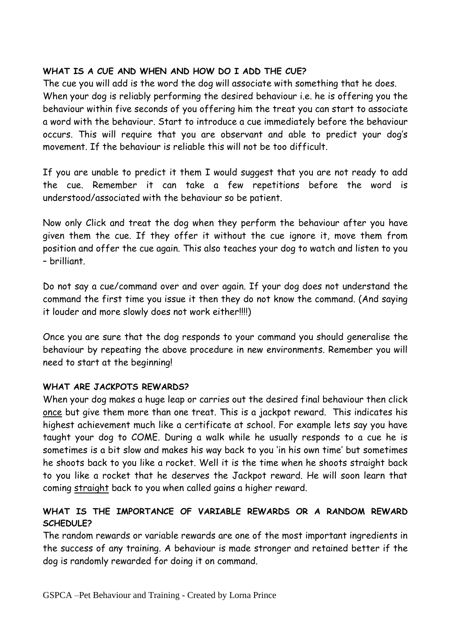# **WHAT IS A CUE AND WHEN AND HOW DO I ADD THE CUE?**

The cue you will add is the word the dog will associate with something that he does. When your dog is reliably performing the desired behaviour i.e. he is offering you the behaviour within five seconds of you offering him the treat you can start to associate a word with the behaviour. Start to introduce a cue immediately before the behaviour occurs. This will require that you are observant and able to predict your dog's movement. If the behaviour is reliable this will not be too difficult.

If you are unable to predict it them I would suggest that you are not ready to add the cue. Remember it can take a few repetitions before the word is understood/associated with the behaviour so be patient.

Now only Click and treat the dog when they perform the behaviour after you have given them the cue. If they offer it without the cue ignore it, move them from position and offer the cue again. This also teaches your dog to watch and listen to you – brilliant.

Do not say a cue/command over and over again. If your dog does not understand the command the first time you issue it then they do not know the command. (And saying it louder and more slowly does not work either!!!!)

Once you are sure that the dog responds to your command you should generalise the behaviour by repeating the above procedure in new environments. Remember you will need to start at the beginning!

# **WHAT ARE JACKPOTS REWARDS?**

When your dog makes a huge leap or carries out the desired final behaviour then click once but give them more than one treat. This is a jackpot reward. This indicates his highest achievement much like a certificate at school. For example lets say you have taught your dog to COME. During a walk while he usually responds to a cue he is sometimes is a bit slow and makes his way back to you 'in his own time' but sometimes he shoots back to you like a rocket. Well it is the time when he shoots straight back to you like a rocket that he deserves the Jackpot reward. He will soon learn that coming straight back to you when called gains a higher reward.

### **WHAT IS THE IMPORTANCE OF VARIABLE REWARDS OR A RANDOM REWARD SCHEDULE?**

The random rewards or variable rewards are one of the most important ingredients in the success of any training. A behaviour is made stronger and retained better if the dog is randomly rewarded for doing it on command.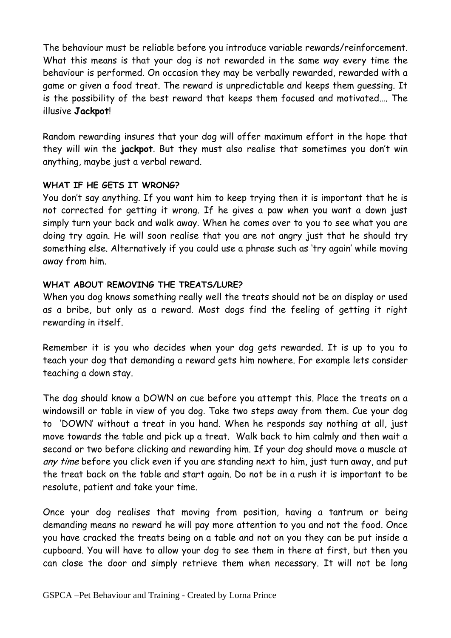The behaviour must be reliable before you introduce variable rewards/reinforcement. What this means is that your dog is not rewarded in the same way every time the behaviour is performed. On occasion they may be verbally rewarded, rewarded with a game or given a food treat. The reward is unpredictable and keeps them guessing. It is the possibility of the best reward that keeps them focused and motivated…. The illusive **Jackpot**!

Random rewarding insures that your dog will offer maximum effort in the hope that they will win the **jackpot**. But they must also realise that sometimes you don't win anything, maybe just a verbal reward.

#### **WHAT IF HE GETS IT WRONG?**

You don't say anything. If you want him to keep trying then it is important that he is not corrected for getting it wrong. If he gives a paw when you want a down just simply turn your back and walk away. When he comes over to you to see what you are doing try again. He will soon realise that you are not angry just that he should try something else. Alternatively if you could use a phrase such as 'try again' while moving away from him.

#### **WHAT ABOUT REMOVING THE TREATS/LURE?**

When you dog knows something really well the treats should not be on display or used as a bribe, but only as a reward. Most dogs find the feeling of getting it right rewarding in itself.

Remember it is you who decides when your dog gets rewarded. It is up to you to teach your dog that demanding a reward gets him nowhere. For example lets consider teaching a down stay.

The dog should know a DOWN on cue before you attempt this. Place the treats on a windowsill or table in view of you dog. Take two steps away from them. Cue your dog to 'DOWN' without a treat in you hand. When he responds say nothing at all, just move towards the table and pick up a treat. Walk back to him calmly and then wait a second or two before clicking and rewarding him. If your dog should move a muscle at any time before you click even if you are standing next to him, just turn away, and put the treat back on the table and start again. Do not be in a rush it is important to be resolute, patient and take your time.

Once your dog realises that moving from position, having a tantrum or being demanding means no reward he will pay more attention to you and not the food. Once you have cracked the treats being on a table and not on you they can be put inside a cupboard. You will have to allow your dog to see them in there at first, but then you can close the door and simply retrieve them when necessary. It will not be long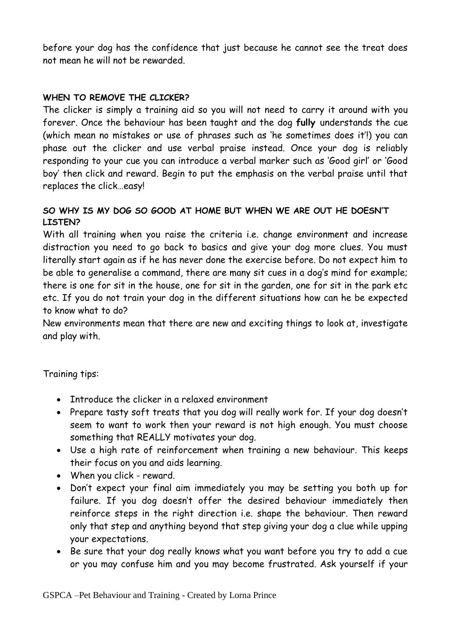before your dog has the confidence that just because he cannot see the treat does not mean he will not be rewarded.

# **WHEN TO REMOVE THE CLICKER?**

The clicker is simply a training aid so you will not need to carry it around with you forever. Once the behaviour has been taught and the dog **fully** understands the cue (which mean no mistakes or use of phrases such as 'he sometimes does it'!) you can phase out the clicker and use verbal praise instead. Once your dog is reliably responding to your cue you can introduce a verbal marker such as 'Good girl' or 'Good boy' then click and reward. Begin to put the emphasis on the verbal praise until that replaces the click…easy!

# **SO WHY IS MY DOG SO GOOD AT HOME BUT WHEN WE ARE OUT HE DOESN'T LISTEN?**

With all training when you raise the criteria i.e. change environment and increase distraction you need to go back to basics and give your dog more clues. You must literally start again as if he has never done the exercise before. Do not expect him to be able to generalise a command, there are many sit cues in a dog's mind for example; there is one for sit in the house, one for sit in the garden, one for sit in the park etc etc. If you do not train your dog in the different situations how can he be expected to know what to do?

New environments mean that there are new and exciting things to look at, investigate and play with.

Training tips:

- Introduce the clicker in a relaxed environment
- Prepare tasty soft treats that you dog will really work for. If your dog doesn't seem to want to work then your reward is not high enough. You must choose something that REALLY motivates your dog.
- Use a high rate of reinforcement when training a new behaviour. This keeps their focus on you and aids learning.
- When you click reward.
- Don't expect your final aim immediately you may be setting you both up for failure. If you dog doesn't offer the desired behaviour immediately then reinforce steps in the right direction i.e. shape the behaviour. Then reward only that step and anything beyond that step giving your dog a clue while upping your expectations.
- Be sure that your dog really knows what you want before you try to add a cue or you may confuse him and you may become frustrated. Ask yourself if your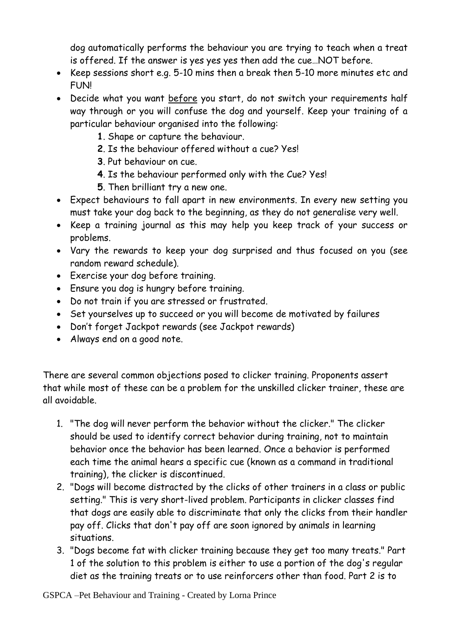dog automatically performs the behaviour you are trying to teach when a treat is offered. If the answer is yes yes yes then add the cue…NOT before.

- Keep sessions short e.g. 5-10 mins then a break then 5-10 more minutes etc and FUN!
- Decide what you want before you start, do not switch your requirements half way through or you will confuse the dog and yourself. Keep your training of a particular behaviour organised into the following:
	- **1**. Shape or capture the behaviour.
	- **2**. Is the behaviour offered without a cue? Yes!
	- **3**. Put behaviour on cue.
	- **4**. Is the behaviour performed only with the Cue? Yes!
	- **5**. Then brilliant try a new one.
- Expect behaviours to fall apart in new environments. In every new setting you must take your dog back to the beginning, as they do not generalise very well.
- Keep a training journal as this may help you keep track of your success or problems.
- Vary the rewards to keep your dog surprised and thus focused on you (see random reward schedule).
- Exercise your dog before training.
- Ensure you dog is hungry before training.
- Do not train if you are stressed or frustrated.
- Set yourselves up to succeed or you will become de motivated by failures
- Don't forget Jackpot rewards (see Jackpot rewards)
- Always end on a good note.

There are several common objections posed to clicker training. Proponents assert that while most of these can be a problem for the unskilled clicker trainer, these are all avoidable.

- 1. "The dog will never perform the behavior without the clicker." The clicker should be used to identify correct behavior during training, not to maintain behavior once the behavior has been learned. Once a behavior is performed each time the animal hears a specific cue (known as a command in traditional training), the clicker is discontinued.
- 2. "Dogs will become distracted by the clicks of other trainers in a class or public setting." This is very short-lived problem. Participants in clicker classes find that dogs are easily able to discriminate that only the clicks from their handler pay off. Clicks that don't pay off are soon ignored by animals in learning situations.
- 3. "Dogs become fat with clicker training because they get too many treats." Part 1 of the solution to this problem is either to use a portion of the dog's regular diet as the training treats or to use reinforcers other than food. Part 2 is to

GSPCA –Pet Behaviour and Training - Created by Lorna Prince